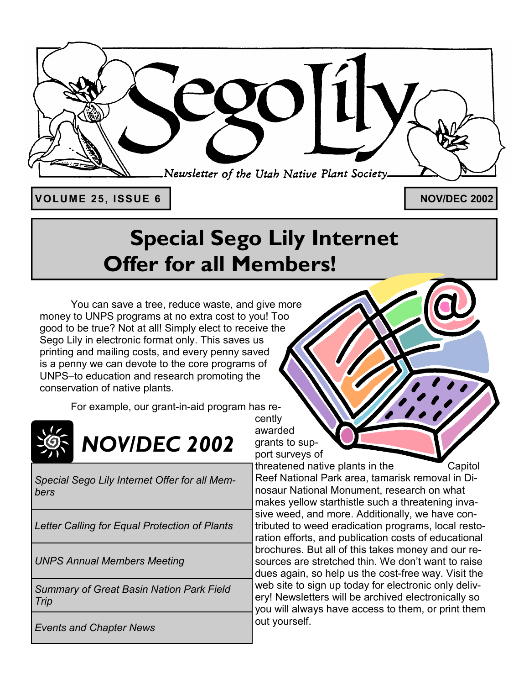

**VOLUME 25, ISSUE 6** 

**NOV/DEC 2002**

# **Special Sego Lily Internet Offer for all Members!**

 You can save a tree, reduce waste, and give more money to UNPS programs at no extra cost to you! Too good to be true? Not at all! Simply elect to receive the Sego Lily in electronic format only. This saves us printing and mailing costs, and every penny saved is a penny we can devote to the core programs of UNPS-to education and research promoting the conservation of native plants.

For example, our grant-in-aid program has re-



*Special Sego Lily Internet Offer for all Members* 

*Letter Calling for Equal Protection of Plants* 

*UNPS Annual Members Meeting* 

*Summary of Great Basin Nation Park Field Trip* 

*Events and Chapter News* 

cently awarded grants to support surveys of

threatened native plants in the Capitol Reef National Park area, tamarisk removal in Dinosaur National Monument, research on what makes yellow starthistle such a threatening invasive weed, and more. Additionally, we have contributed to weed eradication programs, local restoration efforts, and publication costs of educational brochures. But all of this takes money and our resources are stretched thin. We don't want to raise dues again, so help us the cost-free way. Visit the web site to sign up today for electronic only delivery! Newsletters will be archived electronically so you will always have access to them, or print them out yourself.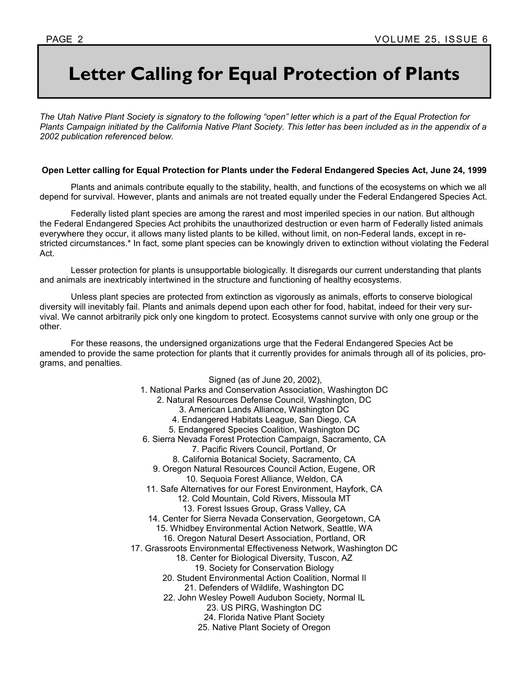# **Letter Calling for Equal Protection of Plants**

The Utah Native Plant Society is signatory to the following "open" letter which is a part of the Equal Protection for *Plants Campaign initiated by the California Native Plant Society. This letter has been included as in the appendix of a 2002 publication referenced below.* 

#### **Open Letter calling for Equal Protection for Plants under the Federal Endangered Species Act, June 24, 1999**

 Plants and animals contribute equally to the stability, health, and functions of the ecosystems on which we all depend for survival. However, plants and animals are not treated equally under the Federal Endangered Species Act.

 Federally listed plant species are among the rarest and most imperiled species in our nation. But although the Federal Endangered Species Act prohibits the unauthorized destruction or even harm of Federally listed animals everywhere they occur, it allows many listed plants to be killed, without limit, on non-Federal lands, except in restricted circumstances.\* In fact, some plant species can be knowingly driven to extinction without violating the Federal Act.

 Lesser protection for plants is unsupportable biologically. It disregards our current understanding that plants and animals are inextricably intertwined in the structure and functioning of healthy ecosystems.

 Unless plant species are protected from extinction as vigorously as animals, efforts to conserve biological diversity will inevitably fail. Plants and animals depend upon each other for food, habitat, indeed for their very survival. We cannot arbitrarily pick only one kingdom to protect. Ecosystems cannot survive with only one group or the other.

 For these reasons, the undersigned organizations urge that the Federal Endangered Species Act be amended to provide the same protection for plants that it currently provides for animals through all of its policies, programs, and penalties.

> Signed (as of June 20, 2002), 1. National Parks and Conservation Association, Washington DC 2. Natural Resources Defense Council, Washington, DC 3. American Lands Alliance, Washington DC 4. Endangered Habitats League, San Diego, CA 5. Endangered Species Coalition, Washington DC 6. Sierra Nevada Forest Protection Campaign, Sacramento, CA 7. Pacific Rivers Council, Portland, Or 8. California Botanical Society, Sacramento, CA 9. Oregon Natural Resources Council Action, Eugene, OR 10. Sequoia Forest Alliance, Weldon, CA 11. Safe Alternatives for our Forest Environment, Hayfork, CA 12. Cold Mountain, Cold Rivers, Missoula MT 13. Forest Issues Group, Grass Valley, CA 14. Center for Sierra Nevada Conservation, Georgetown, CA 15. Whidbey Environmental Action Network, Seattle, WA 16. Oregon Natural Desert Association, Portland, OR 17. Grassroots Environmental Effectiveness Network, Washington DC 18. Center for Biological Diversity, Tuscon, AZ 19. Society for Conservation Biology 20. Student Environmental Action Coalition, Normal Il 21. Defenders of Wildlife, Washington DC 22. John Wesley Powell Audubon Society, Normal IL 23. US PIRG, Washington DC 24. Florida Native Plant Society 25. Native Plant Society of Oregon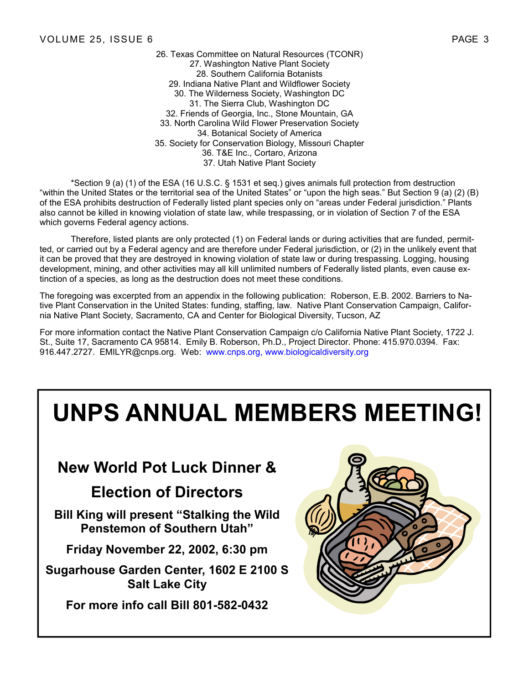26. Texas Committee on Natural Resources (TCONR) 27. Washington Native Plant Society 28. Southern California Botanists 29. Indiana Native Plant and Wildflower Society 30. The Wilderness Society, Washington DC 31. The Sierra Club, Washington DC 32. Friends of Georgia, Inc., Stone Mountain, GA 33. North Carolina Wild Flower Preservation Society 34. Botanical Society of America 35. Society for Conservation Biology, Missouri Chapter 36. T&E Inc., Cortaro, Arizona 37. Utah Native Plant Society

 \*Section 9 (a) (1) of the ESA (16 U.S.C. ß 1531 et seq.) gives animals full protection from destruction "within the United States or the territorial sea of the United States" or "upon the high seas." But Section 9 (a) (2) (B) of the ESA prohibits destruction of Federally listed plant species only on "areas under Federal jurisdiction." Plants also cannot be killed in knowing violation of state law, while trespassing, or in violation of Section 7 of the ESA which governs Federal agency actions.

 Therefore, listed plants are only protected (1) on Federal lands or during activities that are funded, permitted, or carried out by a Federal agency and are therefore under Federal jurisdiction, or (2) in the unlikely event that it can be proved that they are destroyed in knowing violation of state law or during trespassing. Logging, housing development, mining, and other activities may all kill unlimited numbers of Federally listed plants, even cause extinction of a species, as long as the destruction does not meet these conditions.

The foregoing was excerpted from an appendix in the following publication: Roberson, E.B. 2002. Barriers to Native Plant Conservation in the United States: funding, staffing, law. Native Plant Conservation Campaign, California Native Plant Society, Sacramento, CA and Center for Biological Diversity, Tucson, AZ

For more information contact the Native Plant Conservation Campaign c/o California Native Plant Society, 1722 J. St., Suite 17, Sacramento CA 95814. Emily B. Roberson, Ph.D., Project Director. Phone: 415.970.0394. Fax: 916.447.2727. EMILYR@cnps.org. Web: www.cnps.org, www.biologicaldiversity.org

# **UNPS ANNUAL MEMBERS MEETING!**

## **New World Pot Luck Dinner &**

## **Election of Directors**

**Bill King will present "Stalking the Wild Penstemon of Southern Utah"** 

**Friday November 22, 2002, 6:30 pm** 

**Sugarhouse Garden Center, 1602 E 2100 S Salt Lake City** 

**For more info call Bill 801-582-0432**

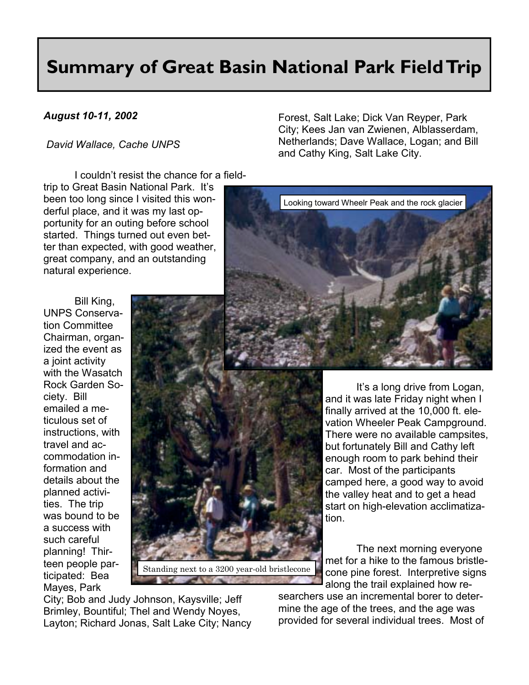# **Summary of Great Basin National Park Field Trip**

#### *August 10-11, 2002*

#### *David Wallace, Cache UNPS*

I couldn't resist the chance for a fieldtrip to Great Basin National Park. It's been too long since I visited this wonderful place, and it was my last opportunity for an outing before school started. Things turned out even better than expected, with good weather, great company, and an outstanding natural experience.

 Bill King, UNPS Conservation Committee Chairman, organized the event as a joint activity with the Wasatch Rock Garden Society. Bill emailed a meticulous set of instructions, with travel and accommodation information and details about the planned activities. The trip was bound to be a success with such careful planning! Thirteen people participated: Bea Mayes, Park



City; Bob and Judy Johnson, Kaysville; Jeff Brimley, Bountiful; Thel and Wendy Noyes, Layton; Richard Jonas, Salt Lake City; Nancy Forest, Salt Lake; Dick Van Reyper, Park City; Kees Jan van Zwienen, Alblasserdam, Netherlands; Dave Wallace, Logan; and Bill and Cathy King, Salt Lake City.



It's a long drive from Logan, and it was late Friday night when I finally arrived at the 10,000 ft. elevation Wheeler Peak Campground. There were no available campsites, but fortunately Bill and Cathy left enough room to park behind their car. Most of the participants camped here, a good way to avoid the valley heat and to get a head start on high-elevation acclimatization.

 The next morning everyone met for a hike to the famous bristlecone pine forest. Interpretive signs along the trail explained how re-

searchers use an incremental borer to determine the age of the trees, and the age was provided for several individual trees. Most of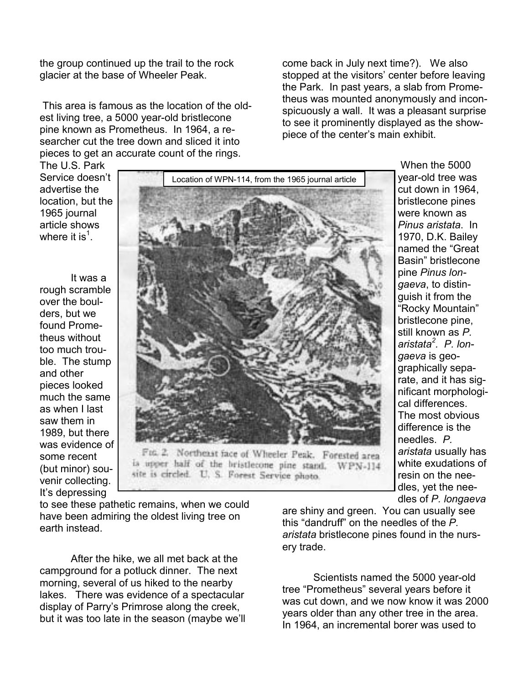the group continued up the trail to the rock glacier at the base of Wheeler Peak.

 This area is famous as the location of the oldest living tree, a 5000 year-old bristlecone pine known as Prometheus. In 1964, a researcher cut the tree down and sliced it into pieces to get an accurate count of the rings.

come back in July next time?). We also stopped at the visitors' center before leaving the Park. In past years, a slab from Prometheus was mounted anonymously and inconspicuously a wall. It was a pleasant surprise to see it prominently displayed as the showpiece of the center's main exhibit.

The U.S. Park Service doesn't advertise the location, but the 1965 journal article shows where it is $^1$ .

 It was a rough scramble over the boulders, but we found Prometheus without too much trouble. The stump and other pieces looked much the same as when I last saw them in 1989, but there was evidence of some recent (but minor) souvenir collecting. It's depressing



Fox 2. Northeast face of Wheeler Peak. Forested area is upper half of the bristlecone pine stand. WPN-114 site is circled. U. S. Forest Service photo.

year-old tree was cut down in 1964, bristlecone pines were known as *Pinus aristata*. In 1970, D.K. Bailey named the "Great Basin<sup>"</sup> bristlecone pine *Pinus longaeva*, to distinguish it from the "Rocky Mountain" bristlecone pine, still known as *P. aristata<sup>2</sup> . P. longaeva* is geographically separate, and it has significant morphological differences. The most obvious difference is the needles. *P. aristata* usually has white exudations of resin on the needles, yet the needles of *P. longaeva*

When the 5000

to see these pathetic remains, when we could have been admiring the oldest living tree on earth instead.

 After the hike, we all met back at the campground for a potluck dinner. The next morning, several of us hiked to the nearby lakes. There was evidence of a spectacular display of Parry's Primrose along the creek, but it was too late in the season (maybe we'll are shiny and green. You can usually see this "dandruff" on the needles of the P. *aristata* bristlecone pines found in the nursery trade.

 Scientists named the 5000 year-old tree "Prometheus" several years before it was cut down, and we now know it was 2000 years older than any other tree in the area. In 1964, an incremental borer was used to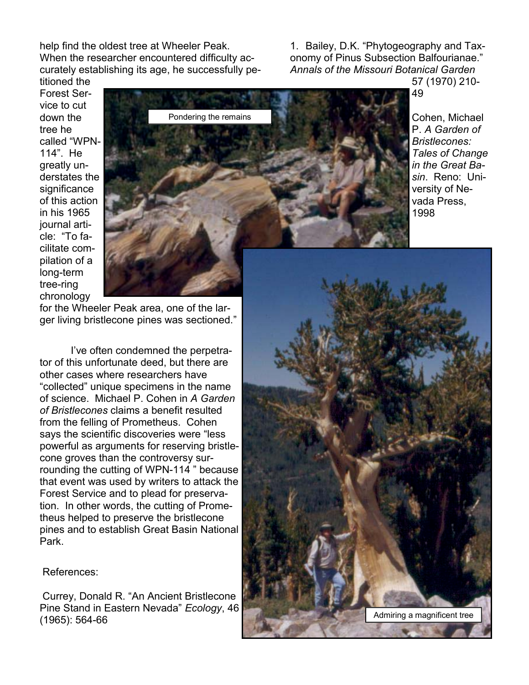help find the oldest tree at Wheeler Peak. When the researcher encountered difficulty accurately establishing its age, he successfully petitioned the

1. Bailey, D.K. "Phytogeography and Taxonomy of Pinus Subsection Balfourianae." *Annals of the Missouri Botanical Garden* 57 (1970) 210-

Cohen, Michael P. *A Garden of Bristlecones: Tales of Change in the Great Basin*. Reno: University of Nevada Press,

Forest Service to cut down the tree he called "WPN-114î. He greatly understates the significance of this action in his 1965 journal article: "To facilitate compilation of a long-term tree-ring chronology



for the Wheeler Peak area, one of the larger living bristlecone pines was sectioned."

I've often condemned the perpetrator of this unfortunate deed, but there are other cases where researchers have ìcollectedî unique specimens in the name of science. Michael P. Cohen in *A Garden of Bristlecones* claims a benefit resulted from the felling of Prometheus. Cohen says the scientific discoveries were "less powerful as arguments for reserving bristlecone groves than the controversy surrounding the cutting of WPN-114 " because that event was used by writers to attack the Forest Service and to plead for preservation. In other words, the cutting of Prometheus helped to preserve the bristlecone pines and to establish Great Basin National Park.



References:

Currey, Donald R. "An Ancient Bristlecone Pine Stand in Eastern Nevada" *Ecology*, 46 (1965): 564-66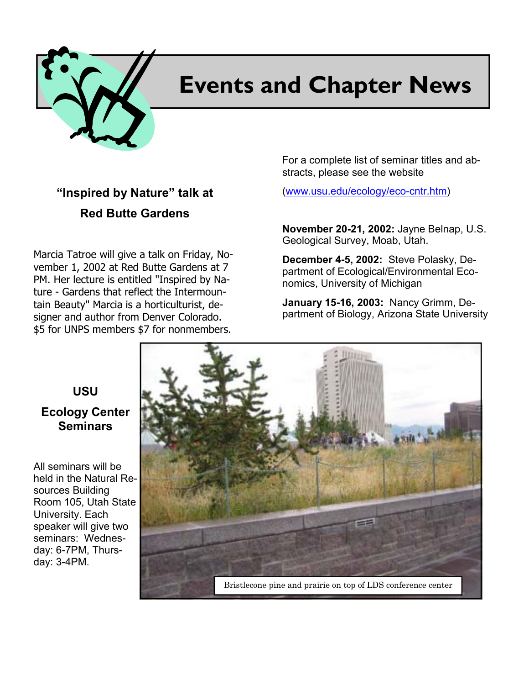

# **Events and Chapter News**

## **"Inspired by Nature" talk at Red Butte Gardens**

Marcia Tatroe will give a talk on Friday, November 1, 2002 at Red Butte Gardens at 7 PM. Her lecture is entitled "Inspired by Nature - Gardens that reflect the Intermountain Beauty" Marcia is a horticulturist, designer and author from Denver Colorado. \$5 for UNPS members \$7 for nonmembers.

For a complete list of seminar titles and abstracts, please see the website

(www.usu.edu/ecology/eco-cntr.htm)

**November 20-21, 2002:** Jayne Belnap, U.S. Geological Survey, Moab, Utah.

**December 4-5, 2002:** Steve Polasky, Department of Ecological/Environmental Economics, University of Michigan

**January 15-16, 2003:** Nancy Grimm, Department of Biology, Arizona State University

### **USU Ecology Center Seminars**

All seminars will be held in the Natural Resources Building Room 105, Utah State University. Each speaker will give two seminars: Wednesday: 6-7PM, Thursday: 3-4PM.